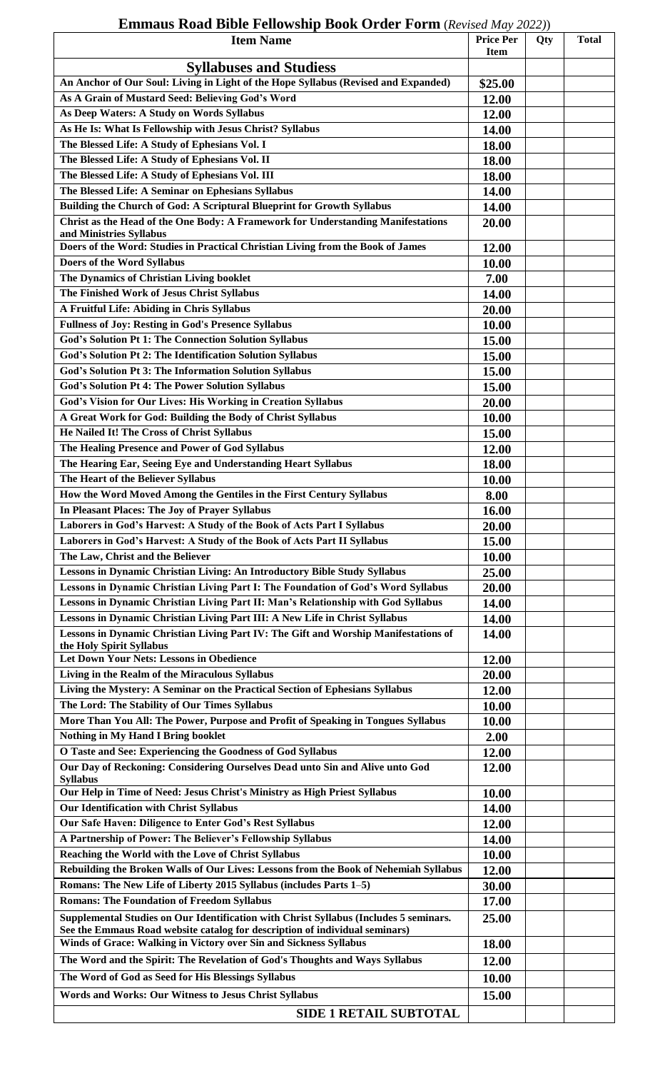## **Emmaus Road Bible Fellowship Book Order Form** (*Revised May 2022)*)

| <b>Syllabuses and Studiess</b><br>An Anchor of Our Soul: Living in Light of the Hope Syllabus (Revised and Expanded)<br>\$25.00<br>As A Grain of Mustard Seed: Believing God's Word<br>12.00<br>As Deep Waters: A Study on Words Syllabus<br>12.00<br>As He Is: What Is Fellowship with Jesus Christ? Syllabus<br>14.00<br>The Blessed Life: A Study of Ephesians Vol. I<br>18.00<br>The Blessed Life: A Study of Ephesians Vol. II<br>18.00<br>The Blessed Life: A Study of Ephesians Vol. III<br>18.00<br>The Blessed Life: A Seminar on Ephesians Syllabus<br>14.00<br>Building the Church of God: A Scriptural Blueprint for Growth Syllabus<br>14.00<br>Christ as the Head of the One Body: A Framework for Understanding Manifestations<br>20.00<br>and Ministries Syllabus<br>Doers of the Word: Studies in Practical Christian Living from the Book of James<br>12.00<br>Doers of the Word Syllabus<br>10.00<br>The Dynamics of Christian Living booklet<br>7.00<br>The Finished Work of Jesus Christ Syllabus<br>14.00<br>A Fruitful Life: Abiding in Chris Syllabus<br>20.00<br><b>Fullness of Joy: Resting in God's Presence Syllabus</b><br>10.00<br><b>God's Solution Pt 1: The Connection Solution Syllabus</b><br>15.00<br>God's Solution Pt 2: The Identification Solution Syllabus<br>15.00<br>God's Solution Pt 3: The Information Solution Syllabus<br>15.00<br><b>God's Solution Pt 4: The Power Solution Syllabus</b><br>15.00<br>God's Vision for Our Lives: His Working in Creation Syllabus<br>20.00<br>A Great Work for God: Building the Body of Christ Syllabus<br>10.00<br>He Nailed It! The Cross of Christ Syllabus<br>15.00<br>The Healing Presence and Power of God Syllabus<br>12.00<br>The Hearing Ear, Seeing Eye and Understanding Heart Syllabus<br>18.00<br>The Heart of the Believer Syllabus<br>10.00<br>How the Word Moved Among the Gentiles in the First Century Syllabus<br>8.00<br>In Pleasant Places: The Joy of Prayer Syllabus<br>16.00<br>Laborers in God's Harvest: A Study of the Book of Acts Part I Syllabus<br>20.00<br>Laborers in God's Harvest: A Study of the Book of Acts Part II Syllabus<br>15.00<br>The Law, Christ and the Believer<br>10.00<br>Lessons in Dynamic Christian Living: An Introductory Bible Study Syllabus<br>25.00<br>Lessons in Dynamic Christian Living Part I: The Foundation of God's Word Syllabus<br>20.00<br>Lessons in Dynamic Christian Living Part II: Man's Relationship with God Syllabus<br>14.00<br>Lessons in Dynamic Christian Living Part III: A New Life in Christ Syllabus<br>14.00<br>Lessons in Dynamic Christian Living Part IV: The Gift and Worship Manifestations of<br>14.00<br>the Holy Spirit Syllabus<br><b>Let Down Your Nets: Lessons in Obedience</b><br>12.00<br>Living in the Realm of the Miraculous Syllabus<br>20.00<br>Living the Mystery: A Seminar on the Practical Section of Ephesians Syllabus<br>12.00<br>The Lord: The Stability of Our Times Syllabus<br>10.00<br>More Than You All: The Power, Purpose and Profit of Speaking in Tongues Syllabus<br>10.00<br>Nothing in My Hand I Bring booklet<br>2.00<br>O Taste and See: Experiencing the Goodness of God Syllabus<br>12.00<br>Our Day of Reckoning: Considering Ourselves Dead unto Sin and Alive unto God<br>12.00<br><b>Syllabus</b><br>Our Help in Time of Need: Jesus Christ's Ministry as High Priest Syllabus<br>10.00<br>Our Identification with Christ Syllabus<br>14.00<br>Our Safe Haven: Diligence to Enter God's Rest Syllabus<br>12.00<br>A Partnership of Power: The Believer's Fellowship Syllabus<br>14.00<br>Reaching the World with the Love of Christ Syllabus<br>10.00<br>Rebuilding the Broken Walls of Our Lives: Lessons from the Book of Nehemiah Syllabus<br>12.00<br>Romans: The New Life of Liberty 2015 Syllabus (includes Parts 1-5)<br>30.00<br><b>Romans: The Foundation of Freedom Syllabus</b><br>17.00<br>Supplemental Studies on Our Identification with Christ Syllabus (Includes 5 seminars.<br>25.00<br>See the Emmaus Road website catalog for description of individual seminars)<br>Winds of Grace: Walking in Victory over Sin and Sickness Syllabus<br>18.00<br>The Word and the Spirit: The Revelation of God's Thoughts and Ways Syllabus<br>12.00<br>The Word of God as Seed for His Blessings Syllabus<br>10.00<br>Words and Works: Our Witness to Jesus Christ Syllabus<br>15.00 | <b>Item Name</b>              | <b>Price Per</b><br><b>Item</b> | Qty | <b>Total</b> |
|---------------------------------------------------------------------------------------------------------------------------------------------------------------------------------------------------------------------------------------------------------------------------------------------------------------------------------------------------------------------------------------------------------------------------------------------------------------------------------------------------------------------------------------------------------------------------------------------------------------------------------------------------------------------------------------------------------------------------------------------------------------------------------------------------------------------------------------------------------------------------------------------------------------------------------------------------------------------------------------------------------------------------------------------------------------------------------------------------------------------------------------------------------------------------------------------------------------------------------------------------------------------------------------------------------------------------------------------------------------------------------------------------------------------------------------------------------------------------------------------------------------------------------------------------------------------------------------------------------------------------------------------------------------------------------------------------------------------------------------------------------------------------------------------------------------------------------------------------------------------------------------------------------------------------------------------------------------------------------------------------------------------------------------------------------------------------------------------------------------------------------------------------------------------------------------------------------------------------------------------------------------------------------------------------------------------------------------------------------------------------------------------------------------------------------------------------------------------------------------------------------------------------------------------------------------------------------------------------------------------------------------------------------------------------------------------------------------------------------------------------------------------------------------------------------------------------------------------------------------------------------------------------------------------------------------------------------------------------------------------------------------------------------------------------------------------------------------------------------------------------------------------------------------------------------------------------------------------------------------------------------------------------------------------------------------------------------------------------------------------------------------------------------------------------------------------------------------------------------------------------------------------------------------------------------------------------------------------------------------------------------------------------------------------------------------------------------------------------------------------------------------------------------------------------------------------------------------------------------------------------------------------------------------------------------------------------------------------------------------------------------------------------------------------------------------------------------------------------------------------------------------------------------------------------------------------------------------------------------------------------------------------------------------------------------------------------------------------------------------------------------------------------------------------|-------------------------------|---------------------------------|-----|--------------|
|                                                                                                                                                                                                                                                                                                                                                                                                                                                                                                                                                                                                                                                                                                                                                                                                                                                                                                                                                                                                                                                                                                                                                                                                                                                                                                                                                                                                                                                                                                                                                                                                                                                                                                                                                                                                                                                                                                                                                                                                                                                                                                                                                                                                                                                                                                                                                                                                                                                                                                                                                                                                                                                                                                                                                                                                                                                                                                                                                                                                                                                                                                                                                                                                                                                                                                                                                                                                                                                                                                                                                                                                                                                                                                                                                                                                                                                                                                                                                                                                                                                                                                                                                                                                                                                                                                                                                                                                                     |                               |                                 |     |              |
|                                                                                                                                                                                                                                                                                                                                                                                                                                                                                                                                                                                                                                                                                                                                                                                                                                                                                                                                                                                                                                                                                                                                                                                                                                                                                                                                                                                                                                                                                                                                                                                                                                                                                                                                                                                                                                                                                                                                                                                                                                                                                                                                                                                                                                                                                                                                                                                                                                                                                                                                                                                                                                                                                                                                                                                                                                                                                                                                                                                                                                                                                                                                                                                                                                                                                                                                                                                                                                                                                                                                                                                                                                                                                                                                                                                                                                                                                                                                                                                                                                                                                                                                                                                                                                                                                                                                                                                                                     |                               |                                 |     |              |
|                                                                                                                                                                                                                                                                                                                                                                                                                                                                                                                                                                                                                                                                                                                                                                                                                                                                                                                                                                                                                                                                                                                                                                                                                                                                                                                                                                                                                                                                                                                                                                                                                                                                                                                                                                                                                                                                                                                                                                                                                                                                                                                                                                                                                                                                                                                                                                                                                                                                                                                                                                                                                                                                                                                                                                                                                                                                                                                                                                                                                                                                                                                                                                                                                                                                                                                                                                                                                                                                                                                                                                                                                                                                                                                                                                                                                                                                                                                                                                                                                                                                                                                                                                                                                                                                                                                                                                                                                     |                               |                                 |     |              |
|                                                                                                                                                                                                                                                                                                                                                                                                                                                                                                                                                                                                                                                                                                                                                                                                                                                                                                                                                                                                                                                                                                                                                                                                                                                                                                                                                                                                                                                                                                                                                                                                                                                                                                                                                                                                                                                                                                                                                                                                                                                                                                                                                                                                                                                                                                                                                                                                                                                                                                                                                                                                                                                                                                                                                                                                                                                                                                                                                                                                                                                                                                                                                                                                                                                                                                                                                                                                                                                                                                                                                                                                                                                                                                                                                                                                                                                                                                                                                                                                                                                                                                                                                                                                                                                                                                                                                                                                                     |                               |                                 |     |              |
|                                                                                                                                                                                                                                                                                                                                                                                                                                                                                                                                                                                                                                                                                                                                                                                                                                                                                                                                                                                                                                                                                                                                                                                                                                                                                                                                                                                                                                                                                                                                                                                                                                                                                                                                                                                                                                                                                                                                                                                                                                                                                                                                                                                                                                                                                                                                                                                                                                                                                                                                                                                                                                                                                                                                                                                                                                                                                                                                                                                                                                                                                                                                                                                                                                                                                                                                                                                                                                                                                                                                                                                                                                                                                                                                                                                                                                                                                                                                                                                                                                                                                                                                                                                                                                                                                                                                                                                                                     |                               |                                 |     |              |
|                                                                                                                                                                                                                                                                                                                                                                                                                                                                                                                                                                                                                                                                                                                                                                                                                                                                                                                                                                                                                                                                                                                                                                                                                                                                                                                                                                                                                                                                                                                                                                                                                                                                                                                                                                                                                                                                                                                                                                                                                                                                                                                                                                                                                                                                                                                                                                                                                                                                                                                                                                                                                                                                                                                                                                                                                                                                                                                                                                                                                                                                                                                                                                                                                                                                                                                                                                                                                                                                                                                                                                                                                                                                                                                                                                                                                                                                                                                                                                                                                                                                                                                                                                                                                                                                                                                                                                                                                     |                               |                                 |     |              |
|                                                                                                                                                                                                                                                                                                                                                                                                                                                                                                                                                                                                                                                                                                                                                                                                                                                                                                                                                                                                                                                                                                                                                                                                                                                                                                                                                                                                                                                                                                                                                                                                                                                                                                                                                                                                                                                                                                                                                                                                                                                                                                                                                                                                                                                                                                                                                                                                                                                                                                                                                                                                                                                                                                                                                                                                                                                                                                                                                                                                                                                                                                                                                                                                                                                                                                                                                                                                                                                                                                                                                                                                                                                                                                                                                                                                                                                                                                                                                                                                                                                                                                                                                                                                                                                                                                                                                                                                                     |                               |                                 |     |              |
|                                                                                                                                                                                                                                                                                                                                                                                                                                                                                                                                                                                                                                                                                                                                                                                                                                                                                                                                                                                                                                                                                                                                                                                                                                                                                                                                                                                                                                                                                                                                                                                                                                                                                                                                                                                                                                                                                                                                                                                                                                                                                                                                                                                                                                                                                                                                                                                                                                                                                                                                                                                                                                                                                                                                                                                                                                                                                                                                                                                                                                                                                                                                                                                                                                                                                                                                                                                                                                                                                                                                                                                                                                                                                                                                                                                                                                                                                                                                                                                                                                                                                                                                                                                                                                                                                                                                                                                                                     |                               |                                 |     |              |
|                                                                                                                                                                                                                                                                                                                                                                                                                                                                                                                                                                                                                                                                                                                                                                                                                                                                                                                                                                                                                                                                                                                                                                                                                                                                                                                                                                                                                                                                                                                                                                                                                                                                                                                                                                                                                                                                                                                                                                                                                                                                                                                                                                                                                                                                                                                                                                                                                                                                                                                                                                                                                                                                                                                                                                                                                                                                                                                                                                                                                                                                                                                                                                                                                                                                                                                                                                                                                                                                                                                                                                                                                                                                                                                                                                                                                                                                                                                                                                                                                                                                                                                                                                                                                                                                                                                                                                                                                     |                               |                                 |     |              |
|                                                                                                                                                                                                                                                                                                                                                                                                                                                                                                                                                                                                                                                                                                                                                                                                                                                                                                                                                                                                                                                                                                                                                                                                                                                                                                                                                                                                                                                                                                                                                                                                                                                                                                                                                                                                                                                                                                                                                                                                                                                                                                                                                                                                                                                                                                                                                                                                                                                                                                                                                                                                                                                                                                                                                                                                                                                                                                                                                                                                                                                                                                                                                                                                                                                                                                                                                                                                                                                                                                                                                                                                                                                                                                                                                                                                                                                                                                                                                                                                                                                                                                                                                                                                                                                                                                                                                                                                                     |                               |                                 |     |              |
|                                                                                                                                                                                                                                                                                                                                                                                                                                                                                                                                                                                                                                                                                                                                                                                                                                                                                                                                                                                                                                                                                                                                                                                                                                                                                                                                                                                                                                                                                                                                                                                                                                                                                                                                                                                                                                                                                                                                                                                                                                                                                                                                                                                                                                                                                                                                                                                                                                                                                                                                                                                                                                                                                                                                                                                                                                                                                                                                                                                                                                                                                                                                                                                                                                                                                                                                                                                                                                                                                                                                                                                                                                                                                                                                                                                                                                                                                                                                                                                                                                                                                                                                                                                                                                                                                                                                                                                                                     |                               |                                 |     |              |
|                                                                                                                                                                                                                                                                                                                                                                                                                                                                                                                                                                                                                                                                                                                                                                                                                                                                                                                                                                                                                                                                                                                                                                                                                                                                                                                                                                                                                                                                                                                                                                                                                                                                                                                                                                                                                                                                                                                                                                                                                                                                                                                                                                                                                                                                                                                                                                                                                                                                                                                                                                                                                                                                                                                                                                                                                                                                                                                                                                                                                                                                                                                                                                                                                                                                                                                                                                                                                                                                                                                                                                                                                                                                                                                                                                                                                                                                                                                                                                                                                                                                                                                                                                                                                                                                                                                                                                                                                     |                               |                                 |     |              |
|                                                                                                                                                                                                                                                                                                                                                                                                                                                                                                                                                                                                                                                                                                                                                                                                                                                                                                                                                                                                                                                                                                                                                                                                                                                                                                                                                                                                                                                                                                                                                                                                                                                                                                                                                                                                                                                                                                                                                                                                                                                                                                                                                                                                                                                                                                                                                                                                                                                                                                                                                                                                                                                                                                                                                                                                                                                                                                                                                                                                                                                                                                                                                                                                                                                                                                                                                                                                                                                                                                                                                                                                                                                                                                                                                                                                                                                                                                                                                                                                                                                                                                                                                                                                                                                                                                                                                                                                                     |                               |                                 |     |              |
|                                                                                                                                                                                                                                                                                                                                                                                                                                                                                                                                                                                                                                                                                                                                                                                                                                                                                                                                                                                                                                                                                                                                                                                                                                                                                                                                                                                                                                                                                                                                                                                                                                                                                                                                                                                                                                                                                                                                                                                                                                                                                                                                                                                                                                                                                                                                                                                                                                                                                                                                                                                                                                                                                                                                                                                                                                                                                                                                                                                                                                                                                                                                                                                                                                                                                                                                                                                                                                                                                                                                                                                                                                                                                                                                                                                                                                                                                                                                                                                                                                                                                                                                                                                                                                                                                                                                                                                                                     |                               |                                 |     |              |
|                                                                                                                                                                                                                                                                                                                                                                                                                                                                                                                                                                                                                                                                                                                                                                                                                                                                                                                                                                                                                                                                                                                                                                                                                                                                                                                                                                                                                                                                                                                                                                                                                                                                                                                                                                                                                                                                                                                                                                                                                                                                                                                                                                                                                                                                                                                                                                                                                                                                                                                                                                                                                                                                                                                                                                                                                                                                                                                                                                                                                                                                                                                                                                                                                                                                                                                                                                                                                                                                                                                                                                                                                                                                                                                                                                                                                                                                                                                                                                                                                                                                                                                                                                                                                                                                                                                                                                                                                     |                               |                                 |     |              |
|                                                                                                                                                                                                                                                                                                                                                                                                                                                                                                                                                                                                                                                                                                                                                                                                                                                                                                                                                                                                                                                                                                                                                                                                                                                                                                                                                                                                                                                                                                                                                                                                                                                                                                                                                                                                                                                                                                                                                                                                                                                                                                                                                                                                                                                                                                                                                                                                                                                                                                                                                                                                                                                                                                                                                                                                                                                                                                                                                                                                                                                                                                                                                                                                                                                                                                                                                                                                                                                                                                                                                                                                                                                                                                                                                                                                                                                                                                                                                                                                                                                                                                                                                                                                                                                                                                                                                                                                                     |                               |                                 |     |              |
|                                                                                                                                                                                                                                                                                                                                                                                                                                                                                                                                                                                                                                                                                                                                                                                                                                                                                                                                                                                                                                                                                                                                                                                                                                                                                                                                                                                                                                                                                                                                                                                                                                                                                                                                                                                                                                                                                                                                                                                                                                                                                                                                                                                                                                                                                                                                                                                                                                                                                                                                                                                                                                                                                                                                                                                                                                                                                                                                                                                                                                                                                                                                                                                                                                                                                                                                                                                                                                                                                                                                                                                                                                                                                                                                                                                                                                                                                                                                                                                                                                                                                                                                                                                                                                                                                                                                                                                                                     |                               |                                 |     |              |
|                                                                                                                                                                                                                                                                                                                                                                                                                                                                                                                                                                                                                                                                                                                                                                                                                                                                                                                                                                                                                                                                                                                                                                                                                                                                                                                                                                                                                                                                                                                                                                                                                                                                                                                                                                                                                                                                                                                                                                                                                                                                                                                                                                                                                                                                                                                                                                                                                                                                                                                                                                                                                                                                                                                                                                                                                                                                                                                                                                                                                                                                                                                                                                                                                                                                                                                                                                                                                                                                                                                                                                                                                                                                                                                                                                                                                                                                                                                                                                                                                                                                                                                                                                                                                                                                                                                                                                                                                     |                               |                                 |     |              |
|                                                                                                                                                                                                                                                                                                                                                                                                                                                                                                                                                                                                                                                                                                                                                                                                                                                                                                                                                                                                                                                                                                                                                                                                                                                                                                                                                                                                                                                                                                                                                                                                                                                                                                                                                                                                                                                                                                                                                                                                                                                                                                                                                                                                                                                                                                                                                                                                                                                                                                                                                                                                                                                                                                                                                                                                                                                                                                                                                                                                                                                                                                                                                                                                                                                                                                                                                                                                                                                                                                                                                                                                                                                                                                                                                                                                                                                                                                                                                                                                                                                                                                                                                                                                                                                                                                                                                                                                                     |                               |                                 |     |              |
|                                                                                                                                                                                                                                                                                                                                                                                                                                                                                                                                                                                                                                                                                                                                                                                                                                                                                                                                                                                                                                                                                                                                                                                                                                                                                                                                                                                                                                                                                                                                                                                                                                                                                                                                                                                                                                                                                                                                                                                                                                                                                                                                                                                                                                                                                                                                                                                                                                                                                                                                                                                                                                                                                                                                                                                                                                                                                                                                                                                                                                                                                                                                                                                                                                                                                                                                                                                                                                                                                                                                                                                                                                                                                                                                                                                                                                                                                                                                                                                                                                                                                                                                                                                                                                                                                                                                                                                                                     |                               |                                 |     |              |
|                                                                                                                                                                                                                                                                                                                                                                                                                                                                                                                                                                                                                                                                                                                                                                                                                                                                                                                                                                                                                                                                                                                                                                                                                                                                                                                                                                                                                                                                                                                                                                                                                                                                                                                                                                                                                                                                                                                                                                                                                                                                                                                                                                                                                                                                                                                                                                                                                                                                                                                                                                                                                                                                                                                                                                                                                                                                                                                                                                                                                                                                                                                                                                                                                                                                                                                                                                                                                                                                                                                                                                                                                                                                                                                                                                                                                                                                                                                                                                                                                                                                                                                                                                                                                                                                                                                                                                                                                     |                               |                                 |     |              |
|                                                                                                                                                                                                                                                                                                                                                                                                                                                                                                                                                                                                                                                                                                                                                                                                                                                                                                                                                                                                                                                                                                                                                                                                                                                                                                                                                                                                                                                                                                                                                                                                                                                                                                                                                                                                                                                                                                                                                                                                                                                                                                                                                                                                                                                                                                                                                                                                                                                                                                                                                                                                                                                                                                                                                                                                                                                                                                                                                                                                                                                                                                                                                                                                                                                                                                                                                                                                                                                                                                                                                                                                                                                                                                                                                                                                                                                                                                                                                                                                                                                                                                                                                                                                                                                                                                                                                                                                                     |                               |                                 |     |              |
|                                                                                                                                                                                                                                                                                                                                                                                                                                                                                                                                                                                                                                                                                                                                                                                                                                                                                                                                                                                                                                                                                                                                                                                                                                                                                                                                                                                                                                                                                                                                                                                                                                                                                                                                                                                                                                                                                                                                                                                                                                                                                                                                                                                                                                                                                                                                                                                                                                                                                                                                                                                                                                                                                                                                                                                                                                                                                                                                                                                                                                                                                                                                                                                                                                                                                                                                                                                                                                                                                                                                                                                                                                                                                                                                                                                                                                                                                                                                                                                                                                                                                                                                                                                                                                                                                                                                                                                                                     |                               |                                 |     |              |
|                                                                                                                                                                                                                                                                                                                                                                                                                                                                                                                                                                                                                                                                                                                                                                                                                                                                                                                                                                                                                                                                                                                                                                                                                                                                                                                                                                                                                                                                                                                                                                                                                                                                                                                                                                                                                                                                                                                                                                                                                                                                                                                                                                                                                                                                                                                                                                                                                                                                                                                                                                                                                                                                                                                                                                                                                                                                                                                                                                                                                                                                                                                                                                                                                                                                                                                                                                                                                                                                                                                                                                                                                                                                                                                                                                                                                                                                                                                                                                                                                                                                                                                                                                                                                                                                                                                                                                                                                     |                               |                                 |     |              |
|                                                                                                                                                                                                                                                                                                                                                                                                                                                                                                                                                                                                                                                                                                                                                                                                                                                                                                                                                                                                                                                                                                                                                                                                                                                                                                                                                                                                                                                                                                                                                                                                                                                                                                                                                                                                                                                                                                                                                                                                                                                                                                                                                                                                                                                                                                                                                                                                                                                                                                                                                                                                                                                                                                                                                                                                                                                                                                                                                                                                                                                                                                                                                                                                                                                                                                                                                                                                                                                                                                                                                                                                                                                                                                                                                                                                                                                                                                                                                                                                                                                                                                                                                                                                                                                                                                                                                                                                                     |                               |                                 |     |              |
|                                                                                                                                                                                                                                                                                                                                                                                                                                                                                                                                                                                                                                                                                                                                                                                                                                                                                                                                                                                                                                                                                                                                                                                                                                                                                                                                                                                                                                                                                                                                                                                                                                                                                                                                                                                                                                                                                                                                                                                                                                                                                                                                                                                                                                                                                                                                                                                                                                                                                                                                                                                                                                                                                                                                                                                                                                                                                                                                                                                                                                                                                                                                                                                                                                                                                                                                                                                                                                                                                                                                                                                                                                                                                                                                                                                                                                                                                                                                                                                                                                                                                                                                                                                                                                                                                                                                                                                                                     |                               |                                 |     |              |
|                                                                                                                                                                                                                                                                                                                                                                                                                                                                                                                                                                                                                                                                                                                                                                                                                                                                                                                                                                                                                                                                                                                                                                                                                                                                                                                                                                                                                                                                                                                                                                                                                                                                                                                                                                                                                                                                                                                                                                                                                                                                                                                                                                                                                                                                                                                                                                                                                                                                                                                                                                                                                                                                                                                                                                                                                                                                                                                                                                                                                                                                                                                                                                                                                                                                                                                                                                                                                                                                                                                                                                                                                                                                                                                                                                                                                                                                                                                                                                                                                                                                                                                                                                                                                                                                                                                                                                                                                     |                               |                                 |     |              |
|                                                                                                                                                                                                                                                                                                                                                                                                                                                                                                                                                                                                                                                                                                                                                                                                                                                                                                                                                                                                                                                                                                                                                                                                                                                                                                                                                                                                                                                                                                                                                                                                                                                                                                                                                                                                                                                                                                                                                                                                                                                                                                                                                                                                                                                                                                                                                                                                                                                                                                                                                                                                                                                                                                                                                                                                                                                                                                                                                                                                                                                                                                                                                                                                                                                                                                                                                                                                                                                                                                                                                                                                                                                                                                                                                                                                                                                                                                                                                                                                                                                                                                                                                                                                                                                                                                                                                                                                                     |                               |                                 |     |              |
|                                                                                                                                                                                                                                                                                                                                                                                                                                                                                                                                                                                                                                                                                                                                                                                                                                                                                                                                                                                                                                                                                                                                                                                                                                                                                                                                                                                                                                                                                                                                                                                                                                                                                                                                                                                                                                                                                                                                                                                                                                                                                                                                                                                                                                                                                                                                                                                                                                                                                                                                                                                                                                                                                                                                                                                                                                                                                                                                                                                                                                                                                                                                                                                                                                                                                                                                                                                                                                                                                                                                                                                                                                                                                                                                                                                                                                                                                                                                                                                                                                                                                                                                                                                                                                                                                                                                                                                                                     |                               |                                 |     |              |
|                                                                                                                                                                                                                                                                                                                                                                                                                                                                                                                                                                                                                                                                                                                                                                                                                                                                                                                                                                                                                                                                                                                                                                                                                                                                                                                                                                                                                                                                                                                                                                                                                                                                                                                                                                                                                                                                                                                                                                                                                                                                                                                                                                                                                                                                                                                                                                                                                                                                                                                                                                                                                                                                                                                                                                                                                                                                                                                                                                                                                                                                                                                                                                                                                                                                                                                                                                                                                                                                                                                                                                                                                                                                                                                                                                                                                                                                                                                                                                                                                                                                                                                                                                                                                                                                                                                                                                                                                     |                               |                                 |     |              |
|                                                                                                                                                                                                                                                                                                                                                                                                                                                                                                                                                                                                                                                                                                                                                                                                                                                                                                                                                                                                                                                                                                                                                                                                                                                                                                                                                                                                                                                                                                                                                                                                                                                                                                                                                                                                                                                                                                                                                                                                                                                                                                                                                                                                                                                                                                                                                                                                                                                                                                                                                                                                                                                                                                                                                                                                                                                                                                                                                                                                                                                                                                                                                                                                                                                                                                                                                                                                                                                                                                                                                                                                                                                                                                                                                                                                                                                                                                                                                                                                                                                                                                                                                                                                                                                                                                                                                                                                                     |                               |                                 |     |              |
|                                                                                                                                                                                                                                                                                                                                                                                                                                                                                                                                                                                                                                                                                                                                                                                                                                                                                                                                                                                                                                                                                                                                                                                                                                                                                                                                                                                                                                                                                                                                                                                                                                                                                                                                                                                                                                                                                                                                                                                                                                                                                                                                                                                                                                                                                                                                                                                                                                                                                                                                                                                                                                                                                                                                                                                                                                                                                                                                                                                                                                                                                                                                                                                                                                                                                                                                                                                                                                                                                                                                                                                                                                                                                                                                                                                                                                                                                                                                                                                                                                                                                                                                                                                                                                                                                                                                                                                                                     |                               |                                 |     |              |
|                                                                                                                                                                                                                                                                                                                                                                                                                                                                                                                                                                                                                                                                                                                                                                                                                                                                                                                                                                                                                                                                                                                                                                                                                                                                                                                                                                                                                                                                                                                                                                                                                                                                                                                                                                                                                                                                                                                                                                                                                                                                                                                                                                                                                                                                                                                                                                                                                                                                                                                                                                                                                                                                                                                                                                                                                                                                                                                                                                                                                                                                                                                                                                                                                                                                                                                                                                                                                                                                                                                                                                                                                                                                                                                                                                                                                                                                                                                                                                                                                                                                                                                                                                                                                                                                                                                                                                                                                     |                               |                                 |     |              |
|                                                                                                                                                                                                                                                                                                                                                                                                                                                                                                                                                                                                                                                                                                                                                                                                                                                                                                                                                                                                                                                                                                                                                                                                                                                                                                                                                                                                                                                                                                                                                                                                                                                                                                                                                                                                                                                                                                                                                                                                                                                                                                                                                                                                                                                                                                                                                                                                                                                                                                                                                                                                                                                                                                                                                                                                                                                                                                                                                                                                                                                                                                                                                                                                                                                                                                                                                                                                                                                                                                                                                                                                                                                                                                                                                                                                                                                                                                                                                                                                                                                                                                                                                                                                                                                                                                                                                                                                                     |                               |                                 |     |              |
|                                                                                                                                                                                                                                                                                                                                                                                                                                                                                                                                                                                                                                                                                                                                                                                                                                                                                                                                                                                                                                                                                                                                                                                                                                                                                                                                                                                                                                                                                                                                                                                                                                                                                                                                                                                                                                                                                                                                                                                                                                                                                                                                                                                                                                                                                                                                                                                                                                                                                                                                                                                                                                                                                                                                                                                                                                                                                                                                                                                                                                                                                                                                                                                                                                                                                                                                                                                                                                                                                                                                                                                                                                                                                                                                                                                                                                                                                                                                                                                                                                                                                                                                                                                                                                                                                                                                                                                                                     |                               |                                 |     |              |
|                                                                                                                                                                                                                                                                                                                                                                                                                                                                                                                                                                                                                                                                                                                                                                                                                                                                                                                                                                                                                                                                                                                                                                                                                                                                                                                                                                                                                                                                                                                                                                                                                                                                                                                                                                                                                                                                                                                                                                                                                                                                                                                                                                                                                                                                                                                                                                                                                                                                                                                                                                                                                                                                                                                                                                                                                                                                                                                                                                                                                                                                                                                                                                                                                                                                                                                                                                                                                                                                                                                                                                                                                                                                                                                                                                                                                                                                                                                                                                                                                                                                                                                                                                                                                                                                                                                                                                                                                     |                               |                                 |     |              |
|                                                                                                                                                                                                                                                                                                                                                                                                                                                                                                                                                                                                                                                                                                                                                                                                                                                                                                                                                                                                                                                                                                                                                                                                                                                                                                                                                                                                                                                                                                                                                                                                                                                                                                                                                                                                                                                                                                                                                                                                                                                                                                                                                                                                                                                                                                                                                                                                                                                                                                                                                                                                                                                                                                                                                                                                                                                                                                                                                                                                                                                                                                                                                                                                                                                                                                                                                                                                                                                                                                                                                                                                                                                                                                                                                                                                                                                                                                                                                                                                                                                                                                                                                                                                                                                                                                                                                                                                                     |                               |                                 |     |              |
|                                                                                                                                                                                                                                                                                                                                                                                                                                                                                                                                                                                                                                                                                                                                                                                                                                                                                                                                                                                                                                                                                                                                                                                                                                                                                                                                                                                                                                                                                                                                                                                                                                                                                                                                                                                                                                                                                                                                                                                                                                                                                                                                                                                                                                                                                                                                                                                                                                                                                                                                                                                                                                                                                                                                                                                                                                                                                                                                                                                                                                                                                                                                                                                                                                                                                                                                                                                                                                                                                                                                                                                                                                                                                                                                                                                                                                                                                                                                                                                                                                                                                                                                                                                                                                                                                                                                                                                                                     |                               |                                 |     |              |
|                                                                                                                                                                                                                                                                                                                                                                                                                                                                                                                                                                                                                                                                                                                                                                                                                                                                                                                                                                                                                                                                                                                                                                                                                                                                                                                                                                                                                                                                                                                                                                                                                                                                                                                                                                                                                                                                                                                                                                                                                                                                                                                                                                                                                                                                                                                                                                                                                                                                                                                                                                                                                                                                                                                                                                                                                                                                                                                                                                                                                                                                                                                                                                                                                                                                                                                                                                                                                                                                                                                                                                                                                                                                                                                                                                                                                                                                                                                                                                                                                                                                                                                                                                                                                                                                                                                                                                                                                     |                               |                                 |     |              |
|                                                                                                                                                                                                                                                                                                                                                                                                                                                                                                                                                                                                                                                                                                                                                                                                                                                                                                                                                                                                                                                                                                                                                                                                                                                                                                                                                                                                                                                                                                                                                                                                                                                                                                                                                                                                                                                                                                                                                                                                                                                                                                                                                                                                                                                                                                                                                                                                                                                                                                                                                                                                                                                                                                                                                                                                                                                                                                                                                                                                                                                                                                                                                                                                                                                                                                                                                                                                                                                                                                                                                                                                                                                                                                                                                                                                                                                                                                                                                                                                                                                                                                                                                                                                                                                                                                                                                                                                                     |                               |                                 |     |              |
|                                                                                                                                                                                                                                                                                                                                                                                                                                                                                                                                                                                                                                                                                                                                                                                                                                                                                                                                                                                                                                                                                                                                                                                                                                                                                                                                                                                                                                                                                                                                                                                                                                                                                                                                                                                                                                                                                                                                                                                                                                                                                                                                                                                                                                                                                                                                                                                                                                                                                                                                                                                                                                                                                                                                                                                                                                                                                                                                                                                                                                                                                                                                                                                                                                                                                                                                                                                                                                                                                                                                                                                                                                                                                                                                                                                                                                                                                                                                                                                                                                                                                                                                                                                                                                                                                                                                                                                                                     |                               |                                 |     |              |
|                                                                                                                                                                                                                                                                                                                                                                                                                                                                                                                                                                                                                                                                                                                                                                                                                                                                                                                                                                                                                                                                                                                                                                                                                                                                                                                                                                                                                                                                                                                                                                                                                                                                                                                                                                                                                                                                                                                                                                                                                                                                                                                                                                                                                                                                                                                                                                                                                                                                                                                                                                                                                                                                                                                                                                                                                                                                                                                                                                                                                                                                                                                                                                                                                                                                                                                                                                                                                                                                                                                                                                                                                                                                                                                                                                                                                                                                                                                                                                                                                                                                                                                                                                                                                                                                                                                                                                                                                     |                               |                                 |     |              |
|                                                                                                                                                                                                                                                                                                                                                                                                                                                                                                                                                                                                                                                                                                                                                                                                                                                                                                                                                                                                                                                                                                                                                                                                                                                                                                                                                                                                                                                                                                                                                                                                                                                                                                                                                                                                                                                                                                                                                                                                                                                                                                                                                                                                                                                                                                                                                                                                                                                                                                                                                                                                                                                                                                                                                                                                                                                                                                                                                                                                                                                                                                                                                                                                                                                                                                                                                                                                                                                                                                                                                                                                                                                                                                                                                                                                                                                                                                                                                                                                                                                                                                                                                                                                                                                                                                                                                                                                                     |                               |                                 |     |              |
|                                                                                                                                                                                                                                                                                                                                                                                                                                                                                                                                                                                                                                                                                                                                                                                                                                                                                                                                                                                                                                                                                                                                                                                                                                                                                                                                                                                                                                                                                                                                                                                                                                                                                                                                                                                                                                                                                                                                                                                                                                                                                                                                                                                                                                                                                                                                                                                                                                                                                                                                                                                                                                                                                                                                                                                                                                                                                                                                                                                                                                                                                                                                                                                                                                                                                                                                                                                                                                                                                                                                                                                                                                                                                                                                                                                                                                                                                                                                                                                                                                                                                                                                                                                                                                                                                                                                                                                                                     |                               |                                 |     |              |
|                                                                                                                                                                                                                                                                                                                                                                                                                                                                                                                                                                                                                                                                                                                                                                                                                                                                                                                                                                                                                                                                                                                                                                                                                                                                                                                                                                                                                                                                                                                                                                                                                                                                                                                                                                                                                                                                                                                                                                                                                                                                                                                                                                                                                                                                                                                                                                                                                                                                                                                                                                                                                                                                                                                                                                                                                                                                                                                                                                                                                                                                                                                                                                                                                                                                                                                                                                                                                                                                                                                                                                                                                                                                                                                                                                                                                                                                                                                                                                                                                                                                                                                                                                                                                                                                                                                                                                                                                     |                               |                                 |     |              |
|                                                                                                                                                                                                                                                                                                                                                                                                                                                                                                                                                                                                                                                                                                                                                                                                                                                                                                                                                                                                                                                                                                                                                                                                                                                                                                                                                                                                                                                                                                                                                                                                                                                                                                                                                                                                                                                                                                                                                                                                                                                                                                                                                                                                                                                                                                                                                                                                                                                                                                                                                                                                                                                                                                                                                                                                                                                                                                                                                                                                                                                                                                                                                                                                                                                                                                                                                                                                                                                                                                                                                                                                                                                                                                                                                                                                                                                                                                                                                                                                                                                                                                                                                                                                                                                                                                                                                                                                                     |                               |                                 |     |              |
|                                                                                                                                                                                                                                                                                                                                                                                                                                                                                                                                                                                                                                                                                                                                                                                                                                                                                                                                                                                                                                                                                                                                                                                                                                                                                                                                                                                                                                                                                                                                                                                                                                                                                                                                                                                                                                                                                                                                                                                                                                                                                                                                                                                                                                                                                                                                                                                                                                                                                                                                                                                                                                                                                                                                                                                                                                                                                                                                                                                                                                                                                                                                                                                                                                                                                                                                                                                                                                                                                                                                                                                                                                                                                                                                                                                                                                                                                                                                                                                                                                                                                                                                                                                                                                                                                                                                                                                                                     |                               |                                 |     |              |
|                                                                                                                                                                                                                                                                                                                                                                                                                                                                                                                                                                                                                                                                                                                                                                                                                                                                                                                                                                                                                                                                                                                                                                                                                                                                                                                                                                                                                                                                                                                                                                                                                                                                                                                                                                                                                                                                                                                                                                                                                                                                                                                                                                                                                                                                                                                                                                                                                                                                                                                                                                                                                                                                                                                                                                                                                                                                                                                                                                                                                                                                                                                                                                                                                                                                                                                                                                                                                                                                                                                                                                                                                                                                                                                                                                                                                                                                                                                                                                                                                                                                                                                                                                                                                                                                                                                                                                                                                     |                               |                                 |     |              |
|                                                                                                                                                                                                                                                                                                                                                                                                                                                                                                                                                                                                                                                                                                                                                                                                                                                                                                                                                                                                                                                                                                                                                                                                                                                                                                                                                                                                                                                                                                                                                                                                                                                                                                                                                                                                                                                                                                                                                                                                                                                                                                                                                                                                                                                                                                                                                                                                                                                                                                                                                                                                                                                                                                                                                                                                                                                                                                                                                                                                                                                                                                                                                                                                                                                                                                                                                                                                                                                                                                                                                                                                                                                                                                                                                                                                                                                                                                                                                                                                                                                                                                                                                                                                                                                                                                                                                                                                                     |                               |                                 |     |              |
|                                                                                                                                                                                                                                                                                                                                                                                                                                                                                                                                                                                                                                                                                                                                                                                                                                                                                                                                                                                                                                                                                                                                                                                                                                                                                                                                                                                                                                                                                                                                                                                                                                                                                                                                                                                                                                                                                                                                                                                                                                                                                                                                                                                                                                                                                                                                                                                                                                                                                                                                                                                                                                                                                                                                                                                                                                                                                                                                                                                                                                                                                                                                                                                                                                                                                                                                                                                                                                                                                                                                                                                                                                                                                                                                                                                                                                                                                                                                                                                                                                                                                                                                                                                                                                                                                                                                                                                                                     |                               |                                 |     |              |
|                                                                                                                                                                                                                                                                                                                                                                                                                                                                                                                                                                                                                                                                                                                                                                                                                                                                                                                                                                                                                                                                                                                                                                                                                                                                                                                                                                                                                                                                                                                                                                                                                                                                                                                                                                                                                                                                                                                                                                                                                                                                                                                                                                                                                                                                                                                                                                                                                                                                                                                                                                                                                                                                                                                                                                                                                                                                                                                                                                                                                                                                                                                                                                                                                                                                                                                                                                                                                                                                                                                                                                                                                                                                                                                                                                                                                                                                                                                                                                                                                                                                                                                                                                                                                                                                                                                                                                                                                     |                               |                                 |     |              |
|                                                                                                                                                                                                                                                                                                                                                                                                                                                                                                                                                                                                                                                                                                                                                                                                                                                                                                                                                                                                                                                                                                                                                                                                                                                                                                                                                                                                                                                                                                                                                                                                                                                                                                                                                                                                                                                                                                                                                                                                                                                                                                                                                                                                                                                                                                                                                                                                                                                                                                                                                                                                                                                                                                                                                                                                                                                                                                                                                                                                                                                                                                                                                                                                                                                                                                                                                                                                                                                                                                                                                                                                                                                                                                                                                                                                                                                                                                                                                                                                                                                                                                                                                                                                                                                                                                                                                                                                                     |                               |                                 |     |              |
|                                                                                                                                                                                                                                                                                                                                                                                                                                                                                                                                                                                                                                                                                                                                                                                                                                                                                                                                                                                                                                                                                                                                                                                                                                                                                                                                                                                                                                                                                                                                                                                                                                                                                                                                                                                                                                                                                                                                                                                                                                                                                                                                                                                                                                                                                                                                                                                                                                                                                                                                                                                                                                                                                                                                                                                                                                                                                                                                                                                                                                                                                                                                                                                                                                                                                                                                                                                                                                                                                                                                                                                                                                                                                                                                                                                                                                                                                                                                                                                                                                                                                                                                                                                                                                                                                                                                                                                                                     |                               |                                 |     |              |
|                                                                                                                                                                                                                                                                                                                                                                                                                                                                                                                                                                                                                                                                                                                                                                                                                                                                                                                                                                                                                                                                                                                                                                                                                                                                                                                                                                                                                                                                                                                                                                                                                                                                                                                                                                                                                                                                                                                                                                                                                                                                                                                                                                                                                                                                                                                                                                                                                                                                                                                                                                                                                                                                                                                                                                                                                                                                                                                                                                                                                                                                                                                                                                                                                                                                                                                                                                                                                                                                                                                                                                                                                                                                                                                                                                                                                                                                                                                                                                                                                                                                                                                                                                                                                                                                                                                                                                                                                     |                               |                                 |     |              |
|                                                                                                                                                                                                                                                                                                                                                                                                                                                                                                                                                                                                                                                                                                                                                                                                                                                                                                                                                                                                                                                                                                                                                                                                                                                                                                                                                                                                                                                                                                                                                                                                                                                                                                                                                                                                                                                                                                                                                                                                                                                                                                                                                                                                                                                                                                                                                                                                                                                                                                                                                                                                                                                                                                                                                                                                                                                                                                                                                                                                                                                                                                                                                                                                                                                                                                                                                                                                                                                                                                                                                                                                                                                                                                                                                                                                                                                                                                                                                                                                                                                                                                                                                                                                                                                                                                                                                                                                                     |                               |                                 |     |              |
|                                                                                                                                                                                                                                                                                                                                                                                                                                                                                                                                                                                                                                                                                                                                                                                                                                                                                                                                                                                                                                                                                                                                                                                                                                                                                                                                                                                                                                                                                                                                                                                                                                                                                                                                                                                                                                                                                                                                                                                                                                                                                                                                                                                                                                                                                                                                                                                                                                                                                                                                                                                                                                                                                                                                                                                                                                                                                                                                                                                                                                                                                                                                                                                                                                                                                                                                                                                                                                                                                                                                                                                                                                                                                                                                                                                                                                                                                                                                                                                                                                                                                                                                                                                                                                                                                                                                                                                                                     |                               |                                 |     |              |
|                                                                                                                                                                                                                                                                                                                                                                                                                                                                                                                                                                                                                                                                                                                                                                                                                                                                                                                                                                                                                                                                                                                                                                                                                                                                                                                                                                                                                                                                                                                                                                                                                                                                                                                                                                                                                                                                                                                                                                                                                                                                                                                                                                                                                                                                                                                                                                                                                                                                                                                                                                                                                                                                                                                                                                                                                                                                                                                                                                                                                                                                                                                                                                                                                                                                                                                                                                                                                                                                                                                                                                                                                                                                                                                                                                                                                                                                                                                                                                                                                                                                                                                                                                                                                                                                                                                                                                                                                     |                               |                                 |     |              |
|                                                                                                                                                                                                                                                                                                                                                                                                                                                                                                                                                                                                                                                                                                                                                                                                                                                                                                                                                                                                                                                                                                                                                                                                                                                                                                                                                                                                                                                                                                                                                                                                                                                                                                                                                                                                                                                                                                                                                                                                                                                                                                                                                                                                                                                                                                                                                                                                                                                                                                                                                                                                                                                                                                                                                                                                                                                                                                                                                                                                                                                                                                                                                                                                                                                                                                                                                                                                                                                                                                                                                                                                                                                                                                                                                                                                                                                                                                                                                                                                                                                                                                                                                                                                                                                                                                                                                                                                                     |                               |                                 |     |              |
|                                                                                                                                                                                                                                                                                                                                                                                                                                                                                                                                                                                                                                                                                                                                                                                                                                                                                                                                                                                                                                                                                                                                                                                                                                                                                                                                                                                                                                                                                                                                                                                                                                                                                                                                                                                                                                                                                                                                                                                                                                                                                                                                                                                                                                                                                                                                                                                                                                                                                                                                                                                                                                                                                                                                                                                                                                                                                                                                                                                                                                                                                                                                                                                                                                                                                                                                                                                                                                                                                                                                                                                                                                                                                                                                                                                                                                                                                                                                                                                                                                                                                                                                                                                                                                                                                                                                                                                                                     |                               |                                 |     |              |
|                                                                                                                                                                                                                                                                                                                                                                                                                                                                                                                                                                                                                                                                                                                                                                                                                                                                                                                                                                                                                                                                                                                                                                                                                                                                                                                                                                                                                                                                                                                                                                                                                                                                                                                                                                                                                                                                                                                                                                                                                                                                                                                                                                                                                                                                                                                                                                                                                                                                                                                                                                                                                                                                                                                                                                                                                                                                                                                                                                                                                                                                                                                                                                                                                                                                                                                                                                                                                                                                                                                                                                                                                                                                                                                                                                                                                                                                                                                                                                                                                                                                                                                                                                                                                                                                                                                                                                                                                     | <b>SIDE 1 RETAIL SUBTOTAL</b> |                                 |     |              |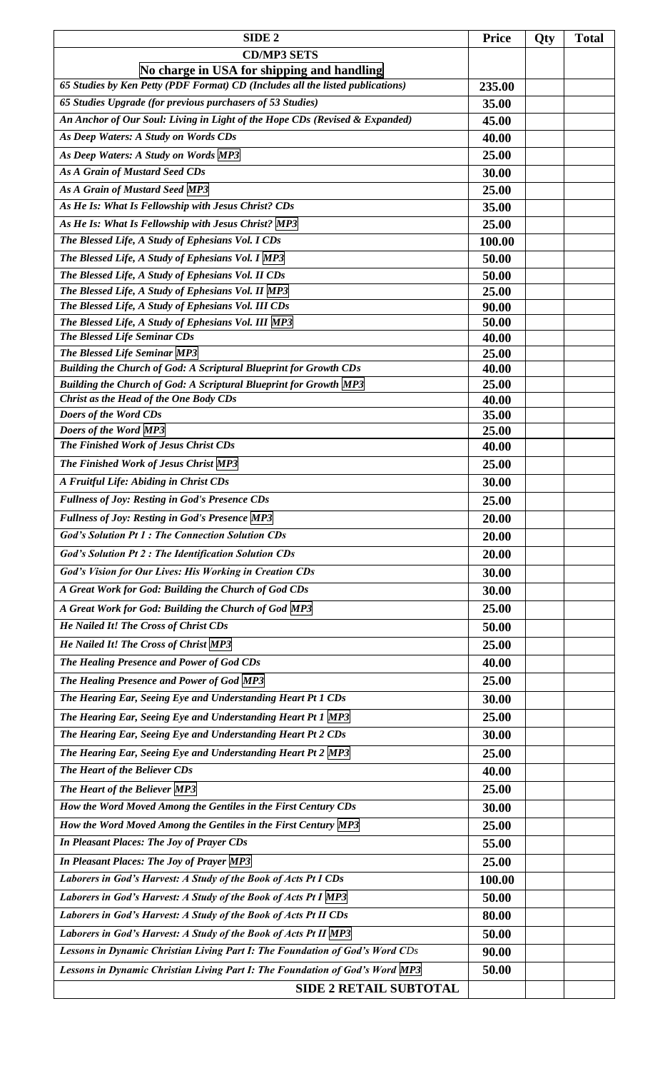| SIDE <sub>2</sub>                                                                                                                             | <b>Price</b>    | Qty | <b>Total</b> |
|-----------------------------------------------------------------------------------------------------------------------------------------------|-----------------|-----|--------------|
| <b>CD/MP3 SETS</b>                                                                                                                            |                 |     |              |
| No charge in USA for shipping and handling                                                                                                    |                 |     |              |
| 65 Studies by Ken Petty (PDF Format) CD (Includes all the listed publications)                                                                | 235.00          |     |              |
| 65 Studies Upgrade (for previous purchasers of 53 Studies)                                                                                    | 35.00           |     |              |
| An Anchor of Our Soul: Living in Light of the Hope CDs (Revised & Expanded)                                                                   | 45.00           |     |              |
| As Deep Waters: A Study on Words CDs                                                                                                          | 40.00           |     |              |
| As Deep Waters: A Study on Words MP3                                                                                                          | 25.00           |     |              |
| As A Grain of Mustard Seed CDs                                                                                                                | 30.00           |     |              |
| As A Grain of Mustard Seed MP3                                                                                                                | 25.00           |     |              |
| As He Is: What Is Fellowship with Jesus Christ? CDs                                                                                           | 35.00           |     |              |
| As He Is: What Is Fellowship with Jesus Christ? MP3                                                                                           | 25.00           |     |              |
| The Blessed Life, A Study of Ephesians Vol. I CDs                                                                                             | 100.00          |     |              |
| The Blessed Life, A Study of Ephesians Vol. I MP3                                                                                             | 50.00           |     |              |
| The Blessed Life, A Study of Ephesians Vol. II CDs                                                                                            | 50.00           |     |              |
| The Blessed Life, A Study of Ephesians Vol. II MP3                                                                                            | 25.00           |     |              |
| The Blessed Life, A Study of Ephesians Vol. III CDs                                                                                           | 90.00           |     |              |
| The Blessed Life, A Study of Ephesians Vol. III MP3                                                                                           | 50.00           |     |              |
| The Blessed Life Seminar CDs                                                                                                                  | 40.00           |     |              |
| The Blessed Life Seminar MP3                                                                                                                  | 25.00           |     |              |
| Building the Church of God: A Scriptural Blueprint for Growth CDs<br><b>Building the Church of God: A Scriptural Blueprint for Growth MP3</b> | 40.00           |     |              |
| Christ as the Head of the One Body CDs                                                                                                        | 25.00<br>40.00  |     |              |
| Doers of the Word CDs                                                                                                                         | 35.00           |     |              |
| Doers of the Word MP3                                                                                                                         | 25.00           |     |              |
| The Finished Work of Jesus Christ CDs                                                                                                         | 40.00           |     |              |
| The Finished Work of Jesus Christ MP3                                                                                                         | 25.00           |     |              |
| A Fruitful Life: Abiding in Christ CDs                                                                                                        | 30.00           |     |              |
| <b>Fullness of Joy: Resting in God's Presence CDs</b>                                                                                         | 25.00           |     |              |
| <b>Fullness of Joy: Resting in God's Presence MP3</b>                                                                                         | 20.00           |     |              |
| <b>God's Solution Pt 1: The Connection Solution CDs</b>                                                                                       | 20.00           |     |              |
| <b>God's Solution Pt 2: The Identification Solution CDs</b>                                                                                   | 20.00           |     |              |
| God's Vision for Our Lives: His Working in Creation CDs                                                                                       | 30.00           |     |              |
| A Great Work for God: Building the Church of God CDs                                                                                          | 30.00           |     |              |
| A Great Work for God: Building the Church of God MP3                                                                                          | 25.00           |     |              |
| He Nailed It! The Cross of Christ CDs                                                                                                         | 50.00           |     |              |
| He Nailed It! The Cross of Christ MP3                                                                                                         | 25.00           |     |              |
| The Healing Presence and Power of God CDs                                                                                                     | 40.00           |     |              |
| The Healing Presence and Power of God MP3                                                                                                     | 25.00           |     |              |
| The Hearing Ear, Seeing Eye and Understanding Heart Pt 1 CDs                                                                                  | 30.00           |     |              |
| The Hearing Ear, Seeing Eye and Understanding Heart Pt 1 MP3                                                                                  | 25.00           |     |              |
| The Hearing Ear, Seeing Eye and Understanding Heart Pt 2 CDs                                                                                  | 30.00           |     |              |
| The Hearing Ear, Seeing Eye and Understanding Heart Pt 2 MP3                                                                                  | 25.00           |     |              |
| The Heart of the Believer CDs                                                                                                                 | 40.00           |     |              |
| The Heart of the Believer MP3                                                                                                                 | 25.00           |     |              |
| How the Word Moved Among the Gentiles in the First Century CDs                                                                                | 30.00           |     |              |
| How the Word Moved Among the Gentiles in the First Century MP3                                                                                | 25.00           |     |              |
| In Pleasant Places: The Joy of Prayer CDs                                                                                                     |                 |     |              |
|                                                                                                                                               | 55.00           |     |              |
| In Pleasant Places: The Joy of Prayer MP3<br>Laborers in God's Harvest: A Study of the Book of Acts Pt I CDs                                  | 25.00<br>100.00 |     |              |
| Laborers in God's Harvest: A Study of the Book of Acts Pt I MP3                                                                               | 50.00           |     |              |
| Laborers in God's Harvest: A Study of the Book of Acts Pt II CDs                                                                              | 80.00           |     |              |
| Laborers in God's Harvest: A Study of the Book of Acts Pt II MP3                                                                              | 50.00           |     |              |
| Lessons in Dynamic Christian Living Part I: The Foundation of God's Word CDs                                                                  | 90.00           |     |              |
| Lessons in Dynamic Christian Living Part I: The Foundation of God's Word MP3                                                                  | 50.00           |     |              |
| <b>SIDE 2 RETAIL SUBTOTAL</b>                                                                                                                 |                 |     |              |
|                                                                                                                                               |                 |     |              |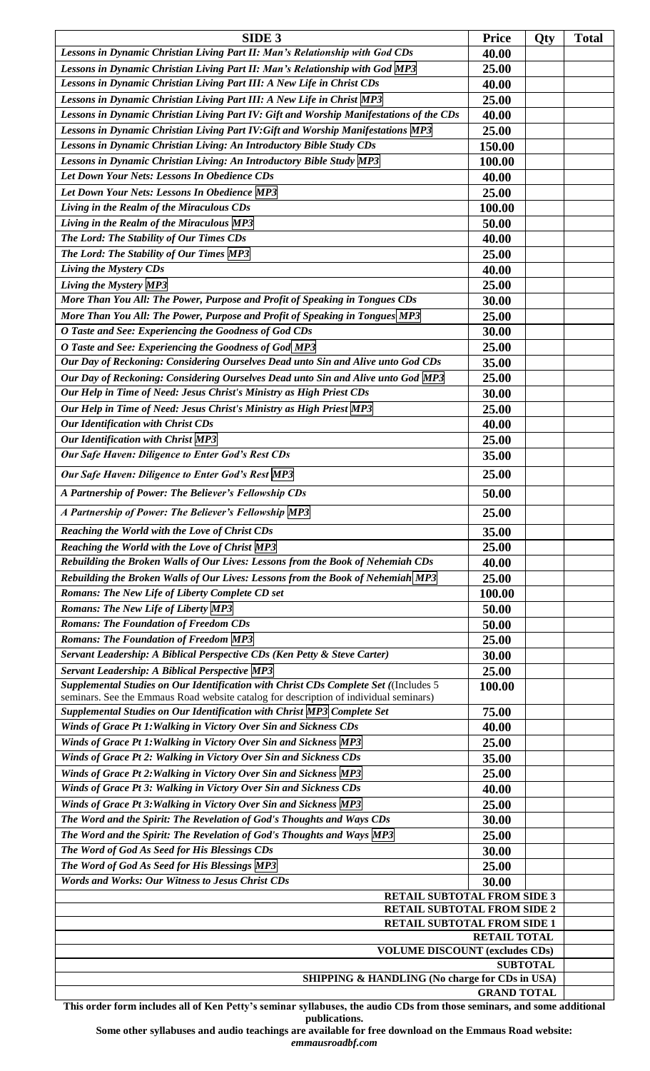| SIDE <sub>3</sub>                                                                                                                                                             | <b>Price</b>       | Qty | <b>Total</b> |
|-------------------------------------------------------------------------------------------------------------------------------------------------------------------------------|--------------------|-----|--------------|
| Lessons in Dynamic Christian Living Part II: Man's Relationship with God CDs<br>40.00                                                                                         |                    |     |              |
| Lessons in Dynamic Christian Living Part II: Man's Relationship with God MP3                                                                                                  | 25.00              |     |              |
| Lessons in Dynamic Christian Living Part III: A New Life in Christ CDs                                                                                                        | 40.00              |     |              |
| Lessons in Dynamic Christian Living Part III: A New Life in Christ MP3                                                                                                        | 25.00              |     |              |
| Lessons in Dynamic Christian Living Part IV: Gift and Worship Manifestations of the CDs                                                                                       | 40.00              |     |              |
| Lessons in Dynamic Christian Living Part IV: Gift and Worship Manifestations MP3                                                                                              | 25.00              |     |              |
| Lessons in Dynamic Christian Living: An Introductory Bible Study CDs                                                                                                          | 150.00             |     |              |
| Lessons in Dynamic Christian Living: An Introductory Bible Study MP3                                                                                                          | 100.00             |     |              |
| Let Down Your Nets: Lessons In Obedience CDs                                                                                                                                  | 40.00              |     |              |
|                                                                                                                                                                               |                    |     |              |
| Let Down Your Nets: Lessons In Obedience MP3                                                                                                                                  | 25.00              |     |              |
| Living in the Realm of the Miraculous CDs                                                                                                                                     | 100.00             |     |              |
| Living in the Realm of the Miraculous MP3                                                                                                                                     | 50.00              |     |              |
| The Lord: The Stability of Our Times CDs                                                                                                                                      | 40.00              |     |              |
| The Lord: The Stability of Our Times MP3                                                                                                                                      | 25.00              |     |              |
| Living the Mystery CDs                                                                                                                                                        | 40.00              |     |              |
| Living the Mystery MP3                                                                                                                                                        | 25.00              |     |              |
| More Than You All: The Power, Purpose and Profit of Speaking in Tongues CDs                                                                                                   | 30.00              |     |              |
| More Than You All: The Power, Purpose and Profit of Speaking in Tongues MP3                                                                                                   | 25.00              |     |              |
| O Taste and See: Experiencing the Goodness of God CDs                                                                                                                         | 30.00              |     |              |
| O Taste and See: Experiencing the Goodness of God MP3                                                                                                                         | 25.00              |     |              |
| Our Day of Reckoning: Considering Ourselves Dead unto Sin and Alive unto God CDs                                                                                              | 35.00              |     |              |
| Our Day of Reckoning: Considering Ourselves Dead unto Sin and Alive unto God MP3                                                                                              | 25.00              |     |              |
| Our Help in Time of Need: Jesus Christ's Ministry as High Priest CDs                                                                                                          | 30.00              |     |              |
| Our Help in Time of Need: Jesus Christ's Ministry as High Priest MP3                                                                                                          | 25.00              |     |              |
| Our Identification with Christ CDs                                                                                                                                            |                    |     |              |
|                                                                                                                                                                               | 40.00              |     |              |
| <b>Our Identification with Christ MP3</b>                                                                                                                                     | 25.00              |     |              |
| Our Safe Haven: Diligence to Enter God's Rest CDs                                                                                                                             | 35.00              |     |              |
| Our Safe Haven: Diligence to Enter God's Rest MP3                                                                                                                             | 25.00              |     |              |
| A Partnership of Power: The Believer's Fellowship CDs                                                                                                                         | 50.00              |     |              |
| A Partnership of Power: The Believer's Fellowship MP3                                                                                                                         | 25.00              |     |              |
| Reaching the World with the Love of Christ CDs                                                                                                                                | 35.00              |     |              |
| Reaching the World with the Love of Christ MP3                                                                                                                                | 25.00              |     |              |
| Rebuilding the Broken Walls of Our Lives: Lessons from the Book of Nehemiah CDs                                                                                               | 40.00              |     |              |
| Rebuilding the Broken Walls of Our Lives: Lessons from the Book of Nehemiah MP3                                                                                               | 25.00              |     |              |
| Romans: The New Life of Liberty Complete CD set                                                                                                                               | 100.00             |     |              |
| <b>Romans: The New Life of Liberty MP3</b>                                                                                                                                    | 50.00              |     |              |
| <b>Romans: The Foundation of Freedom CDs</b>                                                                                                                                  | 50.00              |     |              |
| <b>Romans: The Foundation of Freedom MP3</b>                                                                                                                                  | 25.00              |     |              |
| Servant Leadership: A Biblical Perspective CDs (Ken Petty & Steve Carter)                                                                                                     |                    |     |              |
|                                                                                                                                                                               | 30.00              |     |              |
| Servant Leadership: A Biblical Perspective MP3                                                                                                                                | 25.00              |     |              |
| Supplemental Studies on Our Identification with Christ CDs Complete Set ((Includes 5<br>seminars. See the Emmaus Road website catalog for description of individual seminars) | 100.00             |     |              |
| Supplemental Studies on Our Identification with Christ MP3 Complete Set                                                                                                       | 75.00              |     |              |
| Winds of Grace Pt 1: Walking in Victory Over Sin and Sickness CDs                                                                                                             | 40.00              |     |              |
| Winds of Grace Pt 1: Walking in Victory Over Sin and Sickness MP3                                                                                                             | 25.00              |     |              |
| Winds of Grace Pt 2: Walking in Victory Over Sin and Sickness CDs                                                                                                             | 35.00              |     |              |
| Winds of Grace Pt 2: Walking in Victory Over Sin and Sickness MP3                                                                                                             | 25.00              |     |              |
| Winds of Grace Pt 3: Walking in Victory Over Sin and Sickness CDs                                                                                                             | 40.00              |     |              |
| Winds of Grace Pt 3: Walking in Victory Over Sin and Sickness MP3                                                                                                             | 25.00              |     |              |
| The Word and the Spirit: The Revelation of God's Thoughts and Ways CDs                                                                                                        | 30.00              |     |              |
| The Word and the Spirit: The Revelation of God's Thoughts and Ways MP3                                                                                                        | 25.00              |     |              |
| The Word of God As Seed for His Blessings CDs                                                                                                                                 | 30.00              |     |              |
| The Word of God As Seed for His Blessings MP3                                                                                                                                 | 25.00              |     |              |
| <b>Words and Works: Our Witness to Jesus Christ CDs</b>                                                                                                                       |                    |     |              |
| 30.00                                                                                                                                                                         |                    |     |              |
| RETAIL SUBTOTAL FROM SIDE 3<br>RETAIL SUBTOTAL FROM SIDE 2                                                                                                                    |                    |     |              |
| <b>RETAIL SUBTOTAL FROM SIDE 1</b>                                                                                                                                            |                    |     |              |
| <b>RETAIL TOTAL</b>                                                                                                                                                           |                    |     |              |
| <b>VOLUME DISCOUNT (excludes CDs)</b>                                                                                                                                         |                    |     |              |
| <b>SUBTOTAL</b>                                                                                                                                                               |                    |     |              |
| SHIPPING & HANDLING (No charge for CDs in USA)                                                                                                                                |                    |     |              |
|                                                                                                                                                                               | <b>GRAND TOTAL</b> |     |              |

**This order form includes all of Ken Petty's seminar syllabuses, the audio CDs from those seminars, and some additional publications.** 

**Some other syllabuses and audio teachings are available for free download on the Emmaus Road website:** *emmausroadbf.com*